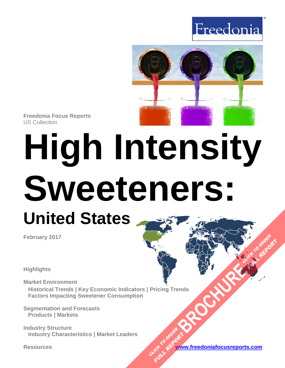



**Freedonia Focus Reports** US Collection

# **High Intensity Sweeteners: United States**

**February 2017**

**Highlights**

**Market Environment Historical Trends | Key Economic Indicators | Pricing Trends Factors Impacting Sweetener Consumption [BROCHURE](https://www.freedoniafocusreports.com/High-Intensity-Sweeteners-United-States-10775013/?progid=89541) CLICK TO ORDER** 

**Segmentation and Forecasts Products | Markets**

**Industry Structure Industry Characteristics | Market Leaders**

**Resources [www.freedoniafocusreports.com](https://www.freedoniafocusreports.com/redirect.asp?progid=89541&url=/)** CLICK TO ORDER **FULL REPORT** 

**FULL REPORT**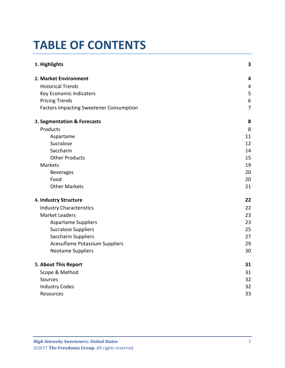# **TABLE OF CONTENTS**

| 1. Highlights                                  | 3                       |
|------------------------------------------------|-------------------------|
| 2. Market Environment                          | 4                       |
| <b>Historical Trends</b>                       | $\overline{\mathbf{4}}$ |
| Key Economic Indicators                        | 5                       |
| <b>Pricing Trends</b>                          | 6                       |
| <b>Factors Impacting Sweetener Consumption</b> | $\overline{7}$          |
| 3. Segmentation & Forecasts                    | 8                       |
| Products                                       | 8                       |
| Aspartame                                      | 11                      |
| Sucralose                                      | 12                      |
| Saccharin                                      | 14                      |
| <b>Other Products</b>                          | 15                      |
| Markets                                        | 19                      |
| <b>Beverages</b>                               | 20                      |
| Food                                           | 20                      |
| <b>Other Markets</b>                           | 21                      |
| 4. Industry Structure                          | 22                      |
| <b>Industry Characteristics</b>                | 22                      |
| <b>Market Leaders</b>                          | 23                      |
| <b>Aspartame Suppliers</b>                     | 23                      |
| <b>Sucralose Suppliers</b>                     | 25                      |
| Saccharin Suppliers                            | 27                      |
| <b>Acesulfame Potassium Suppliers</b>          | 29                      |
| <b>Neotame Suppliers</b>                       | 30                      |
| 5. About This Report                           | 31                      |
| Scope & Method                                 | 31                      |
| Sources                                        | 32                      |
| <b>Industry Codes</b>                          | 32                      |
| Resources                                      | 33                      |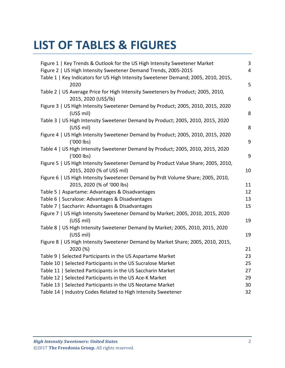# **LIST OF TABLES & FIGURES**

| Figure 1   Key Trends & Outlook for the US High Intensity Sweetener Market         | 3                       |
|------------------------------------------------------------------------------------|-------------------------|
| Figure 2   US High Intensity Sweetener Demand Trends, 2005-2015                    | $\overline{\mathbf{4}}$ |
| Table 1   Key Indicators for US High Intensity Sweetener Demand; 2005, 2010, 2015, |                         |
| 2020                                                                               | 5                       |
| Table 2   US Average Price for High Intensity Sweeteners by Product; 2005, 2010,   |                         |
| 2015, 2020 (US\$/lb)                                                               | 6                       |
| Figure 3   US High Intensity Sweetener Demand by Product; 2005, 2010, 2015, 2020   |                         |
| $(US$)$ mil)                                                                       | 8                       |
| Table 3   US High Intensity Sweetener Demand by Product; 2005, 2010, 2015, 2020    |                         |
| (US\$ mil)                                                                         | 8                       |
| Figure 4   US High Intensity Sweetener Demand by Product; 2005, 2010, 2015, 2020   |                         |
| ('000 lbs)                                                                         | 9                       |
| Table 4   US High Intensity Sweetener Demand by Product; 2005, 2010, 2015, 2020    |                         |
| ('000 lbs)                                                                         | 9                       |
| Figure 5   US High Intensity Sweetener Demand by Product Value Share; 2005, 2010,  |                         |
| 2015, 2020 (% of US\$ mil)                                                         | 10                      |
| Figure 6   US High Intensity Sweetener Demand by Prdt Volume Share; 2005, 2010,    |                         |
|                                                                                    | 11                      |
| 2015, 2020 (% of '000 lbs)                                                         |                         |
| Table 5   Aspartame: Advantages & Disadvantages                                    | 12                      |
| Table 6   Sucralose: Advantages & Disadvantages                                    | 13                      |
| Table 7   Saccharin: Advantages & Disadvantages                                    | 15                      |
| Figure 7   US High Intensity Sweetener Demand by Market; 2005, 2010, 2015, 2020    |                         |
| $(US$)$ mil)                                                                       | 19                      |
| Table 8   US High Intensity Sweetener Demand by Market; 2005, 2010, 2015, 2020     |                         |
| $(US$)$ mil)                                                                       | 19                      |
| Figure 8   US High Intensity Sweetener Demand by Market Share; 2005, 2010, 2015,   |                         |
| 2020 (%)                                                                           | 21                      |
| Table 9   Selected Participants in the US Aspartame Market                         | 23                      |
| Table 10   Selected Participants in the US Sucralose Market                        | 25                      |
| Table 11   Selected Participants in the US Saccharin Market                        | 27                      |
| Table 12   Selected Participants in the US Ace-K Market                            | 29                      |
| Table 13   Selected Participants in the US Neotame Market                          | 30                      |
| Table 14   Industry Codes Related to High Intensity Sweetener                      | 32                      |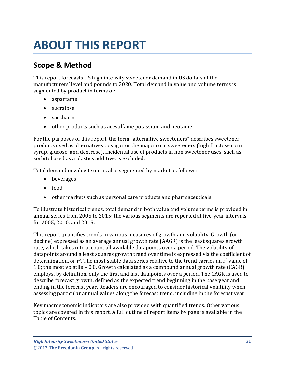# <span id="page-3-0"></span>**ABOUT THIS REPORT**

## <span id="page-3-1"></span>**Scope & Method**

This report forecasts US high intensity sweetener demand in US dollars at the manufacturers' level and pounds to 2020. Total demand in value and volume terms is segmented by product in terms of:

- aspartame
- sucralose
- saccharin
- other products such as acesulfame potassium and neotame.

For the purposes of this report, the term "alternative sweeteners" describes sweetener products used as alternatives to sugar or the major corn sweeteners (high fructose corn syrup, glucose, and dextrose). Incidental use of products in non sweetener uses, such as sorbitol used as a plastics additive, is excluded.

Total demand in value terms is also segmented by market as follows:

- beverages
- food
- other markets such as personal care products and pharmaceuticals.

To illustrate historical trends, total demand in both value and volume terms is provided in annual series from 2005 to 2015; the various segments are reported at five-year intervals for 2005, 2010, and 2015.

This report quantifies trends in various measures of growth and volatility. Growth (or decline) expressed as an average annual growth rate (AAGR) is the least squares growth rate, which takes into account all available datapoints over a period. The volatility of datapoints around a least squares growth trend over time is expressed via the coefficient of determination, or  $r^2$ . The most stable data series relative to the trend carries an  $r^2$  value of 1.0; the most volatile – 0.0. Growth calculated as a compound annual growth rate (CAGR) employs, by definition, only the first and last datapoints over a period. The CAGR is used to describe forecast growth, defined as the expected trend beginning in the base year and ending in the forecast year. Readers are encouraged to consider historical volatility when assessing particular annual values along the forecast trend, including in the forecast year.

Key macroeconomic indicators are also provided with quantified trends. Other various topics are covered in this report. A full outline of report items by page is available in the Table of Contents.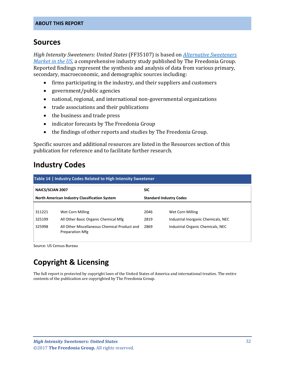## <span id="page-4-0"></span>**Sources**

*High Intensity Sweeteners: United States* (FF35107) is based on *[Alternative Sweeteners](http://www.freedoniagroup.com/DocumentDetails.aspx?ReferrerId=FL-FOCUS&studyid=3491)  [Market in the US,](http://www.freedoniagroup.com/DocumentDetails.aspx?ReferrerId=FL-FOCUS&studyid=3491)* a comprehensive industry study published by The Freedonia Group. Reported findings represent the synthesis and analysis of data from various primary, secondary, macroeconomic, and demographic sources including:

- firms participating in the industry, and their suppliers and customers
- government/public agencies
- national, regional, and international non-governmental organizations
- trade associations and their publications
- the business and trade press
- indicator forecasts by The Freedonia Group
- the findings of other reports and studies by The Freedonia Group.

Specific sources and additional resources are listed in the Resources section of this publication for reference and to facilitate further research.

## <span id="page-4-1"></span>**Industry Codes**

<span id="page-4-2"></span>

| Table 14   Industry Codes Related to High Intensity Sweetener |                                                                        |                                |                                     |  |
|---------------------------------------------------------------|------------------------------------------------------------------------|--------------------------------|-------------------------------------|--|
| <b>NAICS/SCIAN 2007</b>                                       |                                                                        | <b>SIC</b>                     |                                     |  |
| <b>North American Industry Classification System</b>          |                                                                        | <b>Standard Industry Codes</b> |                                     |  |
| 311221                                                        | Wet Corn Milling                                                       | 2046                           | Wet Corn Milling                    |  |
| 325199                                                        | All Other Basic Organic Chemical Mfg                                   | 2819                           | Industrial Inorganic Chemicals, NEC |  |
| 325998                                                        | All Other Miscellaneous Chemical Product and<br><b>Preparation Mfg</b> | 2869                           | Industrial Organic Chemicals, NEC   |  |

Source: US Census Bureau

# **Copyright & Licensing**

The full report is protected by copyright laws of the United States of America and international treaties. The entire contents of the publication are copyrighted by The Freedonia Group.